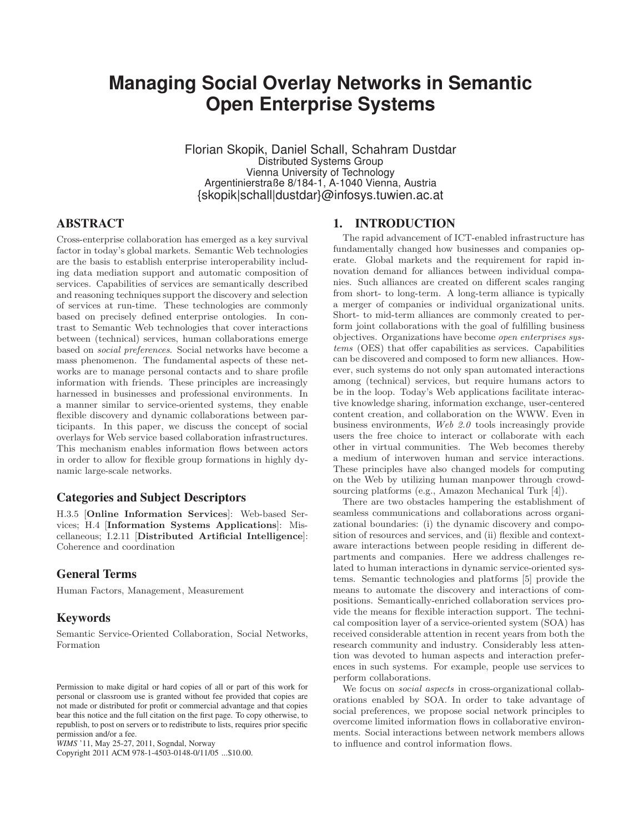# **Managing Social Overlay Networks in Semantic Open Enterprise Systems**

Florian Skopik, Daniel Schall, Schahram Dustdar Distributed Systems Group Vienna University of Technology Argentinierstraße 8/184-1, A-1040 Vienna, Austria {skopik|schall|dustdar}@infosys.tuwien.ac.at

# **ABSTRACT**

Cross-enterprise collaboration has emerged as a key survival factor in today's global markets. Semantic Web technologies are the basis to establish enterprise interoperability including data mediation support and automatic composition of services. Capabilities of services are semantically described and reasoning techniques support the discovery and selection of services at run-time. These technologies are commonly based on precisely defined enterprise ontologies. In contrast to Semantic Web technologies that cover interactions between (technical) services, human collaborations emerge based on *social preferences*. Social networks have become a mass phenomenon. The fundamental aspects of these networks are to manage personal contacts and to share profile information with friends. These principles are increasingly harnessed in businesses and professional environments. In a manner similar to service-oriented systems, they enable flexible discovery and dynamic collaborations between participants. In this paper, we discuss the concept of social overlays for Web service based collaboration infrastructures. This mechanism enables information flows between actors in order to allow for flexible group formations in highly dynamic large-scale networks.

# **Categories and Subject Descriptors**

H.3.5 [Online Information Services]: Web-based Services; H.4 [Information Systems Applications]: Miscellaneous; I.2.11 [Distributed Artificial Intelligence]: Coherence and coordination

# **General Terms**

Human Factors, Management, Measurement

# **Keywords**

Semantic Service-Oriented Collaboration, Social Networks, Formation

Copyright 2011 ACM 978-1-4503-0148-0/11/05 ...\$10.00.

### **1. INTRODUCTION**

The rapid advancement of ICT-enabled infrastructure has fundamentally changed how businesses and companies operate. Global markets and the requirement for rapid innovation demand for alliances between individual companies. Such alliances are created on different scales ranging from short- to long-term. A long-term alliance is typically a merger of companies or individual organizational units. Short- to mid-term alliances are commonly created to perform joint collaborations with the goal of fulfilling business objectives. Organizations have become *open enterprises systems* (OES) that offer capabilities as services. Capabilities can be discovered and composed to form new alliances. However, such systems do not only span automated interactions among (technical) services, but require humans actors to be in the loop. Today's Web applications facilitate interactive knowledge sharing, information exchange, user-centered content creation, and collaboration on the WWW. Even in business environments, *Web 2.0* tools increasingly provide users the free choice to interact or collaborate with each other in virtual communities. The Web becomes thereby a medium of interwoven human and service interactions. These principles have also changed models for computing on the Web by utilizing human manpower through crowdsourcing platforms (e.g., Amazon Mechanical Turk [4]).

There are two obstacles hampering the establishment of seamless communications and collaborations across organizational boundaries: (i) the dynamic discovery and composition of resources and services, and (ii) flexible and contextaware interactions between people residing in different departments and companies. Here we address challenges related to human interactions in dynamic service-oriented systems. Semantic technologies and platforms [5] provide the means to automate the discovery and interactions of compositions. Semantically-enriched collaboration services provide the means for flexible interaction support. The technical composition layer of a service-oriented system (SOA) has received considerable attention in recent years from both the research community and industry. Considerably less attention was devoted to human aspects and interaction preferences in such systems. For example, people use services to perform collaborations.

We focus on *social aspects* in cross-organizational collaborations enabled by SOA. In order to take advantage of social preferences, we propose social network principles to overcome limited information flows in collaborative environments. Social interactions between network members allows to influence and control information flows.

Permission to make digital or hard copies of all or part of this work for personal or classroom use is granted without fee provided that copies are not made or distributed for profit or commercial advantage and that copies bear this notice and the full citation on the first page. To copy otherwise, to republish, to post on servers or to redistribute to lists, requires prior specific permission and/or a fee.

*WIMS* '11, May 25-27, 2011, Sogndal, Norway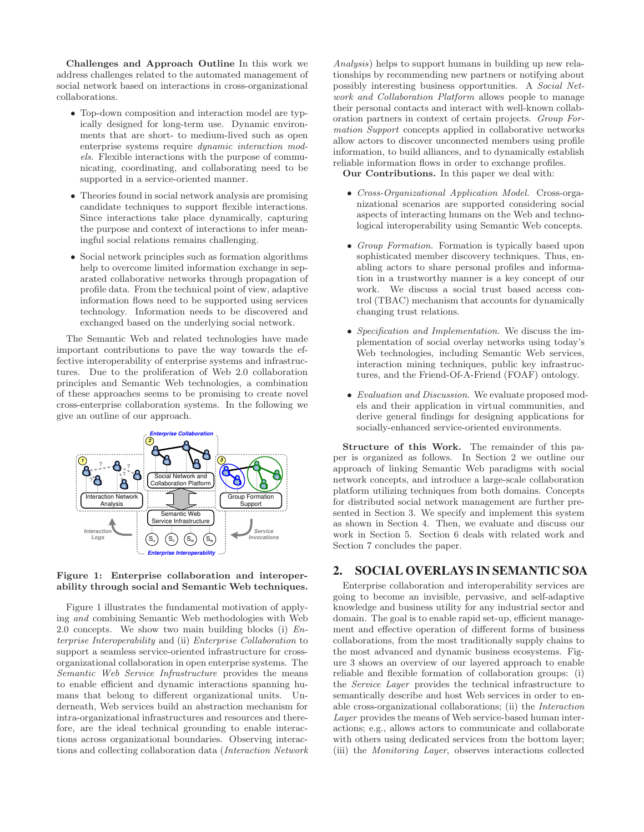Challenges and Approach Outline In this work we address challenges related to the automated management of social network based on interactions in cross-organizational collaborations.

- Top-down composition and interaction model are typically designed for long-term use. Dynamic environments that are short- to medium-lived such as open enterprise systems require *dynamic interaction models*. Flexible interactions with the purpose of communicating, coordinating, and collaborating need to be supported in a service-oriented manner.
- Theories found in social network analysis are promising candidate techniques to support flexible interactions. Since interactions take place dynamically, capturing the purpose and context of interactions to infer meaningful social relations remains challenging.
- Social network principles such as formation algorithms help to overcome limited information exchange in separated collaborative networks through propagation of profile data. From the technical point of view, adaptive information flows need to be supported using services technology. Information needs to be discovered and exchanged based on the underlying social network.

The Semantic Web and related technologies have made important contributions to pave the way towards the effective interoperability of enterprise systems and infrastructures. Due to the proliferation of Web 2.0 collaboration principles and Semantic Web technologies, a combination of these approaches seems to be promising to create novel cross-enterprise collaboration systems. In the following we give an outline of our approach.



### Figure 1: Enterprise collaboration and interoperability through social and Semantic Web techniques.

Figure 1 illustrates the fundamental motivation of applying *and* combining Semantic Web methodologies with Web 2.0 concepts. We show two main building blocks (i) *Enterprise Interoperability* and (ii) *Enterprise Collaboration* to support a seamless service-oriented infrastructure for crossorganizational collaboration in open enterprise systems. The *Semantic Web Service Infrastructure* provides the means to enable efficient and dynamic interactions spanning humans that belong to different organizational units. Underneath, Web services build an abstraction mechanism for intra-organizational infrastructures and resources and therefore, are the ideal technical grounding to enable interactions across organizational boundaries. Observing interactions and collecting collaboration data (*Interaction Network*

*Analysis*) helps to support humans in building up new relationships by recommending new partners or notifying about possibly interesting business opportunities. A *Social Network and Collaboration Platform* allows people to manage their personal contacts and interact with well-known collaboration partners in context of certain projects. *Group Formation Support* concepts applied in collaborative networks allow actors to discover unconnected members using profile information, to build alliances, and to dynamically establish reliable information flows in order to exchange profiles.

Our Contributions. In this paper we deal with:

- *Cross-Organizational Application Model.* Cross-organizational scenarios are supported considering social aspects of interacting humans on the Web and technological interoperability using Semantic Web concepts.
- *Group Formation.* Formation is typically based upon sophisticated member discovery techniques. Thus, enabling actors to share personal profiles and information in a trustworthy manner is a key concept of our work. We discuss a social trust based access control (TBAC) mechanism that accounts for dynamically changing trust relations.
- *Specification and Implementation.* We discuss the implementation of social overlay networks using today's Web technologies, including Semantic Web services, interaction mining techniques, public key infrastructures, and the Friend-Of-A-Friend (FOAF) ontology.
- *Evaluation and Discussion.* We evaluate proposed models and their application in virtual communities, and derive general findings for designing applications for socially-enhanced service-oriented environments.

Structure of this Work. The remainder of this paper is organized as follows. In Section 2 we outline our approach of linking Semantic Web paradigms with social network concepts, and introduce a large-scale collaboration platform utilizing techniques from both domains. Concepts for distributed social network management are further presented in Section 3. We specify and implement this system as shown in Section 4. Then, we evaluate and discuss our work in Section 5. Section 6 deals with related work and Section 7 concludes the paper.

# **2. SOCIAL OVERLAYS IN SEMANTIC SOA**

Enterprise collaboration and interoperability services are going to become an invisible, pervasive, and self-adaptive knowledge and business utility for any industrial sector and domain. The goal is to enable rapid set-up, efficient management and effective operation of different forms of business collaborations, from the most traditionally supply chains to the most advanced and dynamic business ecosystems. Figure 3 shows an overview of our layered approach to enable reliable and flexible formation of collaboration groups: (i) the *Service Layer* provides the technical infrastructure to semantically describe and host Web services in order to enable cross-organizational collaborations; (ii) the *Interaction Layer* provides the means of Web service-based human interactions; e.g., allows actors to communicate and collaborate with others using dedicated services from the bottom layer; (iii) the *Monitoring Layer*, observes interactions collected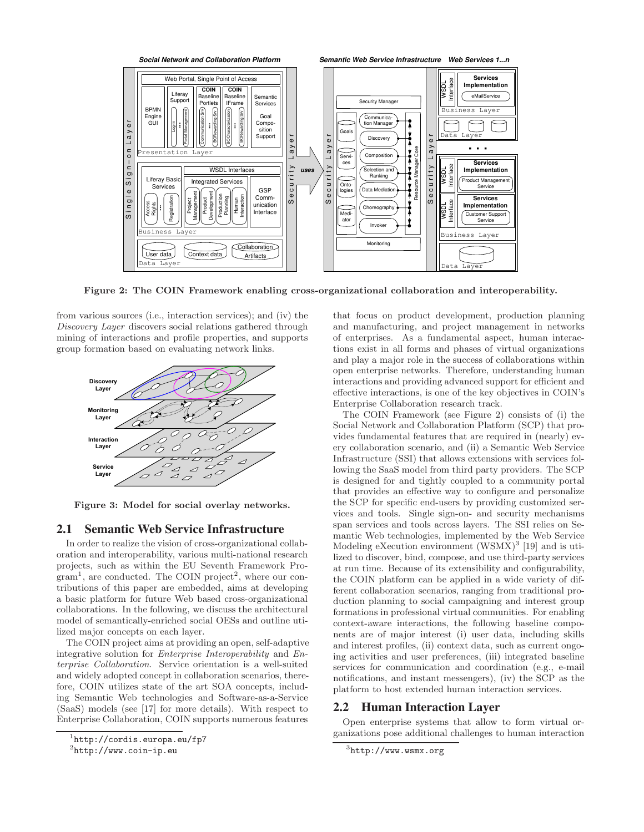

Figure 2: The COIN Framework enabling cross-organizational collaboration and interoperability.

from various sources (i.e., interaction services); and (iv) the *Discovery Layer* discovers social relations gathered through mining of interactions and profile properties, and supports group formation based on evaluating network links.



Figure 3: Model for social overlay networks.

### **2.1 Semantic Web Service Infrastructure**

In order to realize the vision of cross-organizational collaboration and interoperability, various multi-national research projects, such as within the EU Seventh Framework Pro- $\text{gram}^1$ , are conducted. The COIN project<sup>2</sup>, where our contributions of this paper are embedded, aims at developing a basic platform for future Web based cross-organizational collaborations. In the following, we discuss the architectural model of semantically-enriched social OESs and outline utilized major concepts on each layer.

The COIN project aims at providing an open, self-adaptive integrative solution for *Enterprise Interoperability* and *Enterprise Collaboration*. Service orientation is a well-suited and widely adopted concept in collaboration scenarios, therefore, COIN utilizes state of the art SOA concepts, including Semantic Web technologies and Software-as-a-Service (SaaS) models (see [17] for more details). With respect to Enterprise Collaboration, COIN supports numerous features

that focus on product development, production planning and manufacturing, and project management in networks of enterprises. As a fundamental aspect, human interactions exist in all forms and phases of virtual organizations and play a major role in the success of collaborations within open enterprise networks. Therefore, understanding human interactions and providing advanced support for efficient and effective interactions, is one of the key objectives in COIN's Enterprise Collaboration research track.

The COIN Framework (see Figure 2) consists of (i) the Social Network and Collaboration Platform (SCP) that provides fundamental features that are required in (nearly) every collaboration scenario, and (ii) a Semantic Web Service Infrastructure (SSI) that allows extensions with services following the SaaS model from third party providers. The SCP is designed for and tightly coupled to a community portal that provides an effective way to configure and personalize the SCP for specific end-users by providing customized services and tools. Single sign-on- and security mechanisms span services and tools across layers. The SSI relies on Semantic Web technologies, implemented by the Web Service Modeling eXecution environment  $(WSMX)^3$  [19] and is utilized to discover, bind, compose, and use third-party services at run time. Because of its extensibility and configurability, the COIN platform can be applied in a wide variety of different collaboration scenarios, ranging from traditional production planning to social campaigning and interest group formations in professional virtual communities. For enabling context-aware interactions, the following baseline components are of major interest (i) user data, including skills and interest profiles, (ii) context data, such as current ongoing activities and user preferences, (iii) integrated baseline services for communication and coordination (e.g., e-mail notifications, and instant messengers), (iv) the SCP as the platform to host extended human interaction services.

# **2.2 Human Interaction Layer**

Open enterprise systems that allow to form virtual organizations pose additional challenges to human interaction

<sup>1</sup> http://cordis.europa.eu/fp7

<sup>&</sup>lt;sup>2</sup>http://www.coin-ip.eu

 ${}^{3}$ http://www.wsmx.org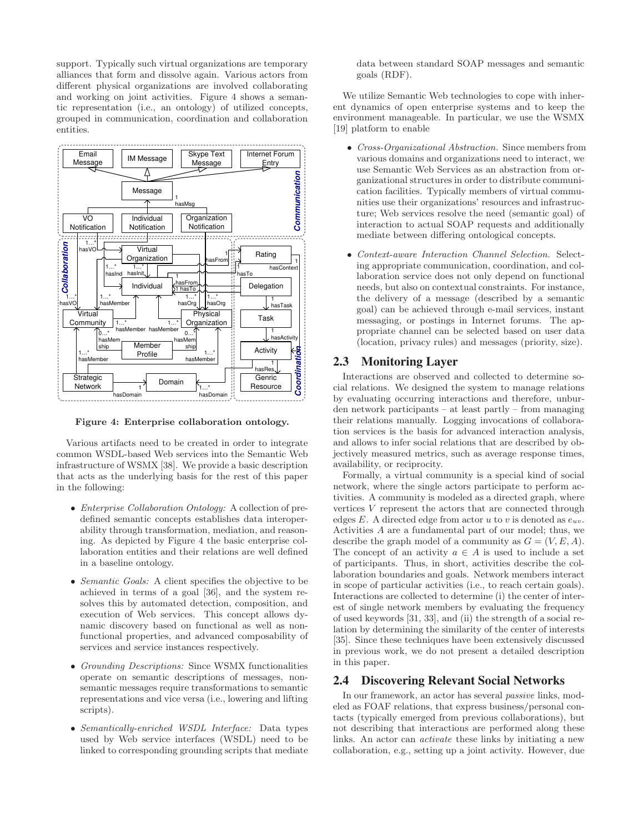support. Typically such virtual organizations are temporary alliances that form and dissolve again. Various actors from different physical organizations are involved collaborating and working on joint activities. Figure 4 shows a semantic representation (i.e., an ontology) of utilized concepts, grouped in communication, coordination and collaboration entities.



Figure 4: Enterprise collaboration ontology.

Various artifacts need to be created in order to integrate common WSDL-based Web services into the Semantic Web infrastructure of WSMX [38]. We provide a basic description that acts as the underlying basis for the rest of this paper in the following:

- *Enterprise Collaboration Ontology:* A collection of predefined semantic concepts establishes data interoperability through transformation, mediation, and reasoning. As depicted by Figure 4 the basic enterprise collaboration entities and their relations are well defined in a baseline ontology.
- *Semantic Goals:* A client specifies the objective to be achieved in terms of a goal [36], and the system resolves this by automated detection, composition, and execution of Web services. This concept allows dynamic discovery based on functional as well as nonfunctional properties, and advanced composability of services and service instances respectively.
- *Grounding Descriptions:* Since WSMX functionalities operate on semantic descriptions of messages, nonsemantic messages require transformations to semantic representations and vice versa (i.e., lowering and lifting scripts).
- *Semantically-enriched WSDL Interface:* Data types used by Web service interfaces (WSDL) need to be linked to corresponding grounding scripts that mediate

data between standard SOAP messages and semantic goals (RDF).

We utilize Semantic Web technologies to cope with inherent dynamics of open enterprise systems and to keep the environment manageable. In particular, we use the WSMX [19] platform to enable

- *Cross-Organizational Abstraction.* Since members from various domains and organizations need to interact, we use Semantic Web Services as an abstraction from organizational structures in order to distribute communication facilities. Typically members of virtual communities use their organizations' resources and infrastructure; Web services resolve the need (semantic goal) of interaction to actual SOAP requests and additionally mediate between differing ontological concepts.
- *Context-aware Interaction Channel Selection.* Selecting appropriate communication, coordination, and collaboration service does not only depend on functional needs, but also on contextual constraints. For instance, the delivery of a message (described by a semantic goal) can be achieved through e-mail services, instant messaging, or postings in Internet forums. The appropriate channel can be selected based on user data (location, privacy rules) and messages (priority, size).

### **2.3 Monitoring Layer**

Interactions are observed and collected to determine social relations. We designed the system to manage relations by evaluating occurring interactions and therefore, unburden network participants – at least partly – from managing their relations manually. Logging invocations of collaboration services is the basis for advanced interaction analysis, and allows to infer social relations that are described by objectively measured metrics, such as average response times, availability, or reciprocity.

Formally, a virtual community is a special kind of social network, where the single actors participate to perform activities. A community is modeled as a directed graph, where vertices V represent the actors that are connected through edges  $E$ . A directed edge from actor u to v is denoted as  $e_{uv}$ . Activities A are a fundamental part of our model; thus, we describe the graph model of a community as  $G = (V, E, A)$ . The concept of an activity  $a \in A$  is used to include a set of participants. Thus, in short, activities describe the collaboration boundaries and goals. Network members interact in scope of particular activities (i.e., to reach certain goals). Interactions are collected to determine (i) the center of interest of single network members by evaluating the frequency of used keywords [31, 33], and (ii) the strength of a social relation by determining the similarity of the center of interests [35]. Since these techniques have been extensively discussed in previous work, we do not present a detailed description in this paper.

### **2.4 Discovering Relevant Social Networks**

In our framework, an actor has several *passive* links, modeled as FOAF relations, that express business/personal contacts (typically emerged from previous collaborations), but not describing that interactions are performed along these links. An actor can *activate* these links by initiating a new collaboration, e.g., setting up a joint activity. However, due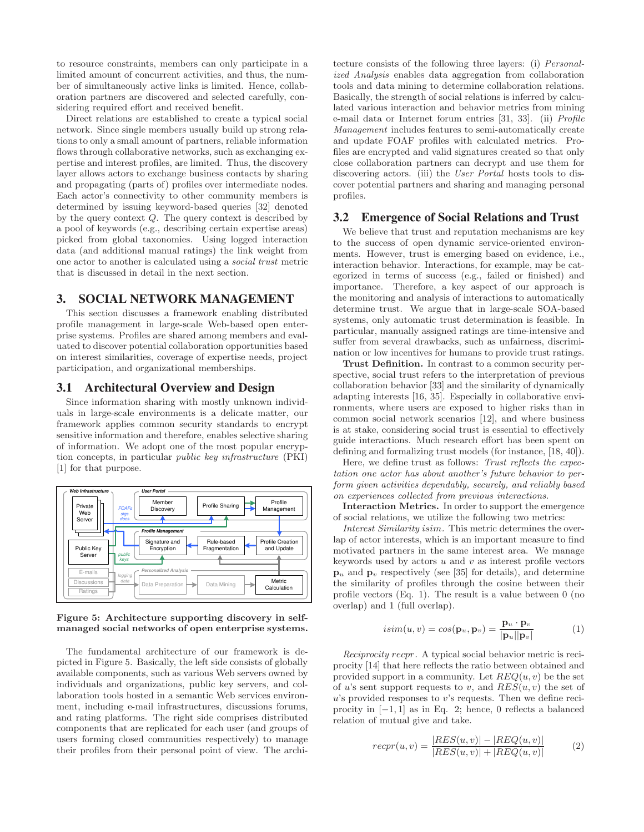to resource constraints, members can only participate in a limited amount of concurrent activities, and thus, the number of simultaneously active links is limited. Hence, collaboration partners are discovered and selected carefully, considering required effort and received benefit.

Direct relations are established to create a typical social network. Since single members usually build up strong relations to only a small amount of partners, reliable information flows through collaborative networks, such as exchanging expertise and interest profiles, are limited. Thus, the discovery layer allows actors to exchange business contacts by sharing and propagating (parts of) profiles over intermediate nodes. Each actor's connectivity to other community members is determined by issuing keyword-based queries [32] denoted by the query context  $Q$ . The query context is described by a pool of keywords (e.g., describing certain expertise areas) picked from global taxonomies. Using logged interaction data (and additional manual ratings) the link weight from one actor to another is calculated using a *social trust* metric that is discussed in detail in the next section.

### **3. SOCIAL NETWORK MANAGEMENT**

This section discusses a framework enabling distributed profile management in large-scale Web-based open enterprise systems. Profiles are shared among members and evaluated to discover potential collaboration opportunities based on interest similarities, coverage of expertise needs, project participation, and organizational memberships.

### **3.1 Architectural Overview and Design**

Since information sharing with mostly unknown individuals in large-scale environments is a delicate matter, our framework applies common security standards to encrypt sensitive information and therefore, enables selective sharing of information. We adopt one of the most popular encryption concepts, in particular *public key infrastructure* (PKI) [1] for that purpose.



Figure 5: Architecture supporting discovery in selfmanaged social networks of open enterprise systems.

The fundamental architecture of our framework is depicted in Figure 5. Basically, the left side consists of globally available components, such as various Web servers owned by individuals and organizations, public key servers, and collaboration tools hosted in a semantic Web services environment, including e-mail infrastructures, discussions forums, and rating platforms. The right side comprises distributed components that are replicated for each user (and groups of users forming closed communities respectively) to manage their profiles from their personal point of view. The architecture consists of the following three layers: (i) *Personalized Analysis* enables data aggregation from collaboration tools and data mining to determine collaboration relations. Basically, the strength of social relations is inferred by calculated various interaction and behavior metrics from mining e-mail data or Internet forum entries [31, 33]. (ii) *Profile Management* includes features to semi-automatically create and update FOAF profiles with calculated metrics. Profiles are encrypted and valid signatures created so that only close collaboration partners can decrypt and use them for discovering actors. (iii) the *User Portal* hosts tools to discover potential partners and sharing and managing personal profiles.

### **3.2 Emergence of Social Relations and Trust**

We believe that trust and reputation mechanisms are key to the success of open dynamic service-oriented environments. However, trust is emerging based on evidence, i.e., interaction behavior. Interactions, for example, may be categorized in terms of success (e.g., failed or finished) and importance. Therefore, a key aspect of our approach is the monitoring and analysis of interactions to automatically determine trust. We argue that in large-scale SOA-based systems, only automatic trust determination is feasible. In particular, manually assigned ratings are time-intensive and suffer from several drawbacks, such as unfairness, discrimination or low incentives for humans to provide trust ratings.

Trust Definition. In contrast to a common security perspective, social trust refers to the interpretation of previous collaboration behavior [33] and the similarity of dynamically adapting interests [16, 35]. Especially in collaborative environments, where users are exposed to higher risks than in common social network scenarios [12], and where business is at stake, considering social trust is essential to effectively guide interactions. Much research effort has been spent on defining and formalizing trust models (for instance, [18, 40]).

Here, we define trust as follows: *Trust reflects the expectation one actor has about another's future behavior to perform given activities dependably, securely, and reliably based on experiences collected from previous interactions.*

Interaction Metrics. In order to support the emergence of social relations, we utilize the following two metrics:

*Interest Similarity* isim*.* This metric determines the overlap of actor interests, which is an important measure to find motivated partners in the same interest area. We manage keywords used by actors  $u$  and  $v$  as interest profile vectors  $\mathbf{p}_u$  and  $\mathbf{p}_v$  respectively (see [35] for details), and determine the similarity of profiles through the cosine between their profile vectors (Eq. 1). The result is a value between 0 (no overlap) and 1 (full overlap).

$$
isim(u, v) = cos(\mathbf{p}_u, \mathbf{p}_v) = \frac{\mathbf{p}_u \cdot \mathbf{p}_v}{|\mathbf{p}_u||\mathbf{p}_v|}
$$
(1)

*Reciprocity* recpr*.* A typical social behavior metric is reciprocity [14] that here reflects the ratio between obtained and provided support in a community. Let  $REQ(u, v)$  be the set of u's sent support requests to v, and  $RES(u, v)$  the set of  $u$ 's provided responses to  $v$ 's requests. Then we define reciprocity in  $[-1, 1]$  as in Eq. 2; hence, 0 reflects a balanced relation of mutual give and take.

$$
recr(u, v) = \frac{|RES(u, v)| - |REQ(u, v)|}{|RES(u, v)| + |REQ(u, v)|}
$$
(2)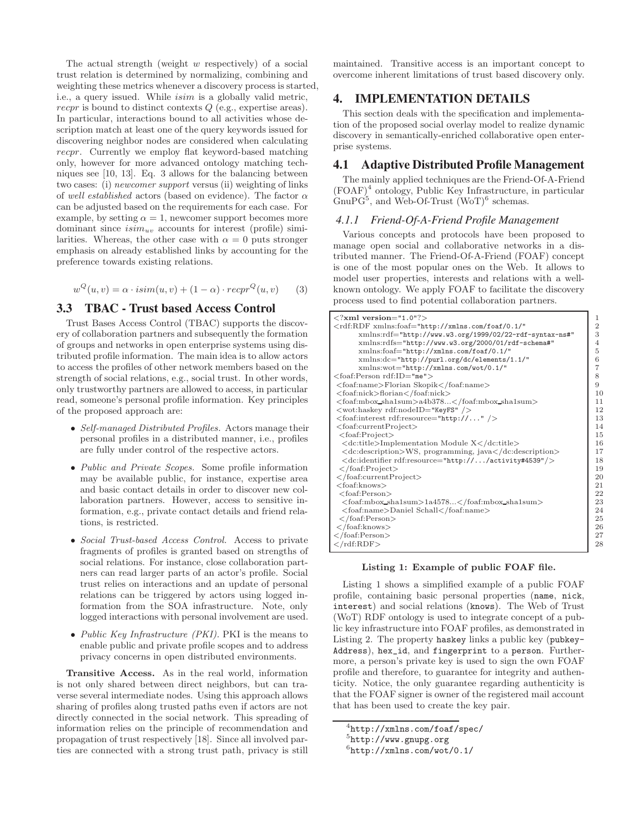The actual strength (weight  $w$  respectively) of a social trust relation is determined by normalizing, combining and weighting these metrics whenever a discovery process is started, i.e., a query issued. While isim is a globally valid metric, recpr is bound to distinct contexts Q (e.g., expertise areas). In particular, interactions bound to all activities whose description match at least one of the query keywords issued for discovering neighbor nodes are considered when calculating recpr. Currently we employ flat keyword-based matching only, however for more advanced ontology matching techniques see [10, 13]. Eq. 3 allows for the balancing between two cases: (i) *newcomer support* versus (ii) weighting of links of *well established* actors (based on evidence). The factor  $\alpha$ can be adjusted based on the requirements for each case. For example, by setting  $\alpha = 1$ , newcomer support becomes more dominant since  $isim_{uv}$  accounts for interest (profile) similarities. Whereas, the other case with  $\alpha = 0$  puts stronger emphasis on already established links by accounting for the preference towards existing relations.

$$
w^{Q}(u, v) = \alpha \cdot i\sin(u, v) + (1 - \alpha) \cdot recpr^{Q}(u, v)
$$
 (3)

# **3.3 TBAC - Trust based Access Control**

Trust Bases Access Control (TBAC) supports the discovery of collaboration partners and subsequently the formation of groups and networks in open enterprise systems using distributed profile information. The main idea is to allow actors to access the profiles of other network members based on the strength of social relations, e.g., social trust. In other words, only trustworthy partners are allowed to access, in particular read, someone's personal profile information. Key principles of the proposed approach are:

- *Self-managed Distributed Profiles.* Actors manage their personal profiles in a distributed manner, i.e., profiles are fully under control of the respective actors.
- *Public and Private Scopes.* Some profile information may be available public, for instance, expertise area and basic contact details in order to discover new collaboration partners. However, access to sensitive information, e.g., private contact details and friend relations, is restricted.
- *Social Trust-based Access Control.* Access to private fragments of profiles is granted based on strengths of social relations. For instance, close collaboration partners can read larger parts of an actor's profile. Social trust relies on interactions and an update of personal relations can be triggered by actors using logged information from the SOA infrastructure. Note, only logged interactions with personal involvement are used.
- *Public Key Infrastructure (PKI).* PKI is the means to enable public and private profile scopes and to address privacy concerns in open distributed environments.

Transitive Access. As in the real world, information is not only shared between direct neighbors, but can traverse several intermediate nodes. Using this approach allows sharing of profiles along trusted paths even if actors are not directly connected in the social network. This spreading of information relies on the principle of recommendation and propagation of trust respectively [18]. Since all involved parties are connected with a strong trust path, privacy is still maintained. Transitive access is an important concept to overcome inherent limitations of trust based discovery only.

# **4. IMPLEMENTATION DETAILS**

This section deals with the specification and implementation of the proposed social overlay model to realize dynamic discovery in semantically-enriched collaborative open enterprise systems.

# **4.1 Adaptive Distributed Profile Management**

The mainly applied techniques are the Friend-Of-A-Friend (FOAF)<sup>4</sup> ontology, Public Key Infrastructure, in particular  $GnuPG<sup>5</sup>$ , and Web-Of-Trust (WoT)<sup>6</sup> schemas.

## *4.1.1 Friend-Of-A-Friend Profile Management*

Various concepts and protocols have been proposed to manage open social and collaborative networks in a distributed manner. The Friend-Of-A-Friend (FOAF) concept is one of the most popular ones on the Web. It allows to model user properties, interests and relations with a wellknown ontology. We apply FOAF to facilitate the discovery process used to find potential collaboration partners.

| $\langle$ ?xml version="1.0"?>                                                   |    |  |  |
|----------------------------------------------------------------------------------|----|--|--|
| <rdf:rdf <="" td="" xmlns:foaf="http://xmlns.com/foaf/0.1/"><td>2</td></rdf:rdf> | 2  |  |  |
| xmlns:rdf="http://www.w3.org/1999/02/22-rdf-syntax-ns#"                          | 3  |  |  |
| xmlns:rdfs="http://www.w3.org/2000/01/rdf-schema#"                               | 4  |  |  |
| xmlns:foaf="http://xmlns.com/foaf/0.1/"                                          | 5  |  |  |
| xmlns:dc="http://purl.org/dc/elements/1.1/"                                      | 6  |  |  |
| $xmlns: wot="http://xmlns.com/wot/0.1/"$                                         | 7  |  |  |
| <foaf:person rdf:id="me"></foaf:person>                                          | 8  |  |  |
| <foaf:name>Florian Skopik</foaf:name>                                            | 9  |  |  |
| <foaf:nick>florian</foaf:nick>                                                   | 10 |  |  |
| <foaf:mbox_sha1sum>a4b378</foaf:mbox_sha1sum>                                    | 11 |  |  |
| <wot:haskey rdf:nodeid="KeyFS"></wot:haskey>                                     | 12 |  |  |
| <foaf:interest rdf:resource="http://"></foaf:interest>                           | 13 |  |  |
| <foaf:currentproject></foaf:currentproject>                                      | 14 |  |  |
| $<$ foaf:Project $>$                                                             | 15 |  |  |
| <dc:title>Implementation Module X</dc:title>                                     | 16 |  |  |
| <dc:description>WS, programming, java</dc:description>                           | 17 |  |  |
| <dc:identifier rdf:resource="http:///activity#4539"></dc:identifier>             | 18 |  |  |
| $\langle$ /foaf:Project>                                                         | 19 |  |  |
|                                                                                  | 20 |  |  |
| $<$ foaf:knows $>$                                                               | 21 |  |  |
| $<$ foaf:Person $>$                                                              | 22 |  |  |
| <foaf:mbox_sha1sum>1a4578</foaf:mbox_sha1sum>                                    | 23 |  |  |
| <foaf:name>Daniel Schall</foaf:name>                                             | 24 |  |  |
| $\langle$ /foaf:Person $\rangle$                                                 | 25 |  |  |
| $\langle$ /foaf:knows>                                                           | 26 |  |  |
| $\langle$ /foaf:Person>                                                          | 27 |  |  |
| $\langle$ /rdf:RDF $>$                                                           | 28 |  |  |

#### Listing 1: Example of public FOAF file.

Listing 1 shows a simplified example of a public FOAF profile, containing basic personal properties (name, nick, interest) and social relations (knows). The Web of Trust (WoT) RDF ontology is used to integrate concept of a public key infrastructure into FOAF profiles, as demonstrated in Listing 2. The property haskey links a public key (pubkey-Address), hex\_id, and fingerprint to a person. Furthermore, a person's private key is used to sign the own FOAF profile and therefore, to guarantee for integrity and authenticity. Notice, the only guarantee regarding authenticity is that the FOAF signer is owner of the registered mail account that has been used to create the key pair.

<sup>4</sup> http://xmlns.com/foaf/spec/

<sup>&</sup>lt;sup>5</sup>http://www.gnupg.org

 $6$ http://xmlns.com/wot/0.1/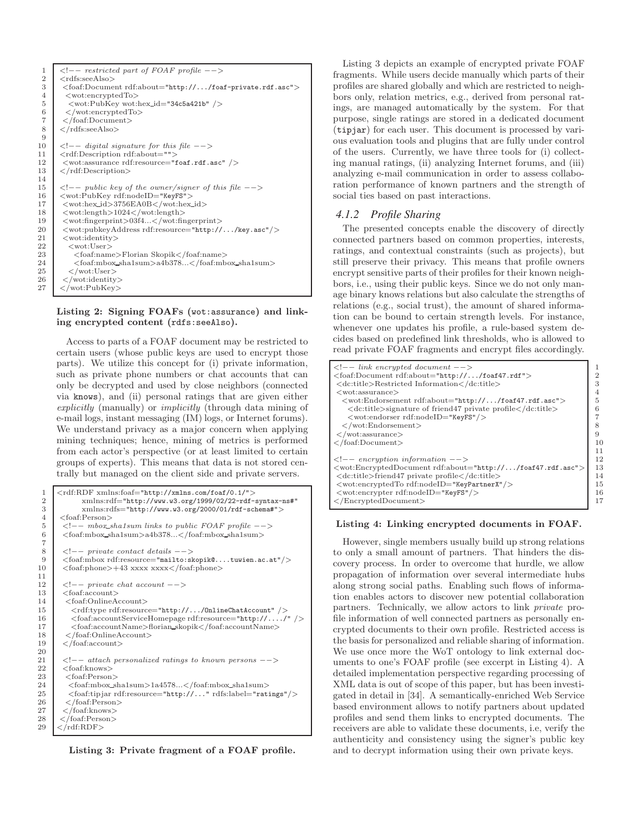```
\begin{array}{c|c|c|c} 1 <!-- restricted part of FOAF profile --> \ \hline ? < rdfs:seeAlso> > \end{array}2 <rdfs:seeAlso>
 \left\{\n \begin{array}{l}\n 3 \quad \text{(foot:encurrent of:about="http://.../foaf-private.rdf.asc")\n \end{array}\n \right.4 <wot:encryptedTo>
 5 <wot:PubKey wot:hex_id="34c5a421b" />
 \begin{array}{c|c} 6 & \leq\\  \text{root:} \end{array} \begin{array}{c} \leq\\ \leq\\ \text{foot:} \end{array}\langle /foaf:Document>
 8 \mid \langle \text{rdfs:seeAlso} \rangle9
10 <!−− digital signature for this file −−>
11 < crdf:Description rdf:about=""><br>12 < wot:assurance rdf:resource="f
12 <wot:assurance rdf:resource="foaf.rdf.asc" />
          </rdf:Description>
14
15 <br> \langle -!−− public key of the owner/signer of this file --><br>16 <br> \langlewot:PubKey rdf:nodeID="KeyFS">
16 <wot:PubKey rdf:nodeID="KeyFS"><br>17 <wot:hex_id>3756EA0B</wot:hex_
17 <wot:hex_id>3756EA0B</wot:hex_id><br>418 <wot:length>1024</wot:length>
18 <wot:length>1024</wot:length></wot:fingerprint>03f4...</wot:fin
19 <wot:fingerprint>03f4...</wot:fingerprint><br>20 <wot:pubkeyAddress rdf:resource="http://
20 <wot:pubkeyAddress rdf:resource="http://.../key.asc"/>
21 <wot:identity><br>
\langle \text{wot:identity} \rangle22 <wot:User><br>23 <wot:User>
23 <foaf:name>Florian Skopik</foaf:name><br>24 <foaf:mbox_sha1sum>a4b378...</foaf:mb
24 <foaf:mbox_sha1sum>a4b378...</foaf:mbox_sha1sum><br>
</wot:User>
\begin{array}{c|c}\n 25 & & \checkmark \text{wot:User>}\n \hline\n 26 & & \checkmark \text{wot:identity}\n\end{array}26 \langle/wot:identity><br>27 \langle/wot:PubKey>
          \langle/wot:PubKey>
```
### Listing 2: Signing FOAFs (wot:assurance) and linking encrypted content (rdfs:seeAlso).

Access to parts of a FOAF document may be restricted to certain users (whose public keys are used to encrypt those parts). We utilize this concept for (i) private information, such as private phone numbers or chat accounts that can only be decrypted and used by close neighbors (connected via knows), and (ii) personal ratings that are given either *explicitly* (manually) or *implicitly* (through data mining of e-mail logs, instant messaging (IM) logs, or Internet forums). We understand privacy as a major concern when applying mining techniques; hence, mining of metrics is performed from each actor's perspective (or at least limited to certain groups of experts). This means that data is not stored centrally but managed on the client side and private servers.

```
\frac{1}{2} <rdf:RDF xmlns:foaf="http://xmlns.com/foaf/0.1/"><br>xmlns:rdf="http://www.w3.org/1999/02/22-rdf-
  2 xmlns:rdf="http://www.w3.org/1999/02/22-rdf-syntax-ns#"<br>3 xmlns:rdfs="http://www.w3.org/2000/01/rdf-schema#">
  \frac{3}{4} xmlns:rdfs="http://www.w3.org/2000/01/rdf-schema#"><br>\frac{4}{4} <foaf:Person>
  \begin{array}{c|c}\n4 & \text{<foaf:Person>}\n5 & \text{<}!--\text{mbox.s}\n\end{array}5 <!−− mbox sha1sum links to public FOAF profile −−>
             6 <foaf:mbox sha1sum>a4b378...</foaf:mbox sha1sum>
  8 \begin{array}{c} \text{8} \\ \text{6} \\ \text{6} \end{array} \begin{array}{c} \text{5} \\ \text{6} \\ \text{6} \end{array} \begin{array}{c} \text{6} \\ \text{6} \\ \text{6} \end{array} \begin{array}{c} \text{6} \\ \text{6} \\ \text{6} \end{array} \begin{array}{c} \text{6} \\ \text{6} \\ \text{6} \end{array} \begin{array}{c} \text{6} \\ \text{6} \\ \text{6} \end{array} \begin{array}{c} \text{6} \\ \text{6} \\ \text{6} \end{9 \langlefoaf:mbox rdf:resource="mailto:skopik@....tuwien.ac.at"/><br>10 \langlefoaf:phone>+43 xxxx xxxx\langle/foaf:phone>
             10 <foaf:phone>+43 xxxx xxxx</foaf:phone>
\begin{array}{c|c}\n 12 < < < -- \n 13 < < \text{foaf:account} > \\
\hline\n \end{array}13 <foaf:account><br>14 <foaf:OnlineA
               <foaf:OnlineAccount>15 </rdf:type rdf:resource="http://.../0nlineChatAccount" /><br>16 </rdf:accountServiceHomepage rdf:resource="http://..../
16 <foaf:accountServiceHomepage rdf:resource="http://..../" /><br>17 <foaf:accountName>florian_skopik</foaf:accountName>
17 <foaf:accountName>florian skopik</foaf:accountName>
18 </foaf:OnlineAccount><br>19 </foaf:account>
             \langlefoaf:account\rangle21 \vert <!-- attach personalized ratings to known persons --><br>22 \vert <foaf:knows>
22 \nvert <foaf:knows><br>23 <foaf:Person
23 <foaf:Person><br>24 <foaf:mbox_s
24 <foaf:mbox_sha1sum>1a4578...</foaf:mbox_sha1sum><br>25 <foaf:tipjar rdf:resource="http://..." rdfs:label="rat:
25 <br>
\left\{\n \begin{array}{l}\n \text{-(foaf:tip)}\n \text{or} \\
 \text{-(foaf:Person)}\n \end{array}\n \right.\begin{array}{c|c}\n 26 & \ltf{foaf:Person}\n \hline\n 27 & \ltf{foaf:knows}\n \end{array}\begin{array}{c|c}\n 27 & \checkmark \text{foaf:knows} \\
 \hline\n 28 & \checkmark \text{foaf:Person}\n \end{array}\begin{array}{c|c}\n 28 & & \sqrt{\text{foaf:Person}} \\
 29 & & \sqrt{\text{rdf:RDF}}\n \end{array}\langlerdf:RDF>
```
7

 $\begin{array}{c} 11 \\ 12 \end{array}$ 

 $\begin{array}{c} 20 \\ 21 \end{array}$ 

Listing 3: Private fragment of a FOAF profile.

Listing 3 depicts an example of encrypted private FOAF fragments. While users decide manually which parts of their profiles are shared globally and which are restricted to neighbors only, relation metrics, e.g., derived from personal ratings, are managed automatically by the system. For that purpose, single ratings are stored in a dedicated document (tipjar) for each user. This document is processed by various evaluation tools and plugins that are fully under control of the users. Currently, we have three tools for (i) collecting manual ratings, (ii) analyzing Internet forums, and (iii) analyzing e-mail communication in order to assess collaboration performance of known partners and the strength of social ties based on past interactions.

### *4.1.2 Profile Sharing*

The presented concepts enable the discovery of directly connected partners based on common properties, interests, ratings, and contextual constraints (such as projects), but still preserve their privacy. This means that profile owners encrypt sensitive parts of their profiles for their known neighbors, i.e., using their public keys. Since we do not only manage binary knows relations but also calculate the strengths of relations (e.g., social trust), the amount of shared information can be bound to certain strength levels. For instance, whenever one updates his profile, a rule-based system decides based on predefined link thresholds, who is allowed to read private FOAF fragments and encrypt files accordingly.

| $\langle$ --link encrypted document -->                                                                                                               |    |
|-------------------------------------------------------------------------------------------------------------------------------------------------------|----|
| <foaf:document rdf:about="http:///foaf47.rdf"></foaf:document>                                                                                        | 2  |
| <dc:title>Restricted Information</dc:title>                                                                                                           | 3  |
| $<$ wot:assurance $>$                                                                                                                                 |    |
| <wot:endorsement rdf:about="http:///foaf47.rdf.asc"></wot:endorsement>                                                                                | 5  |
| $\langle$ dc:title $\rangle$ signature of friend47 private profile $\langle$ /dc:title $\rangle$                                                      | 6  |
| <wot:endorser rdf:nodeid="KeyFS"></wot:endorser>                                                                                                      |    |
| $\langle$ /wot:Endorsement>                                                                                                                           |    |
| $\langle$ /wot:assurance>                                                                                                                             | 9  |
| $\langle$ /foaf:Document>                                                                                                                             | 10 |
|                                                                                                                                                       | 11 |
| $\langle$ !-- encryption information -->                                                                                                              | 12 |
| $\langle \text{wot:} \text{Encryption} \rangle$ and $\text{Cov}$ and $\text{Cov}$ and $\text{Cov}$ and $\text{Cov}$ and $\text{Cov}$ and $\text{Cov}$ | 13 |
| <dc:title>friend47 private profile</dc:title>                                                                                                         | 14 |
| <wot:encryptedto rdf:nodeid="KeyPartnerX"></wot:encryptedto>                                                                                          | 15 |
| <wot:encrypter rdf:nodeid="KeyFS"></wot:encrypter>                                                                                                    | 16 |
| $\langle$ /EncryptedDocument>                                                                                                                         | 17 |
|                                                                                                                                                       |    |

### Listing 4: Linking encrypted documents in FOAF.

However, single members usually build up strong relations to only a small amount of partners. That hinders the discovery process. In order to overcome that hurdle, we allow propagation of information over several intermediate hubs along strong social paths. Enabling such flows of information enables actors to discover new potential collaboration partners. Technically, we allow actors to link *private* profile information of well connected partners as personally encrypted documents to their own profile. Restricted access is the basis for personalized and reliable sharing of information. We use once more the WoT ontology to link external documents to one's FOAF profile (see excerpt in Listing 4). A detailed implementation perspective regarding processing of XML data is out of scope of this paper, but has been investigated in detail in [34]. A semantically-enriched Web Service based environment allows to notify partners about updated profiles and send them links to encrypted documents. The receivers are able to validate these documents, i.e, verify the authenticity and consistency using the signer's public key and to decrypt information using their own private keys.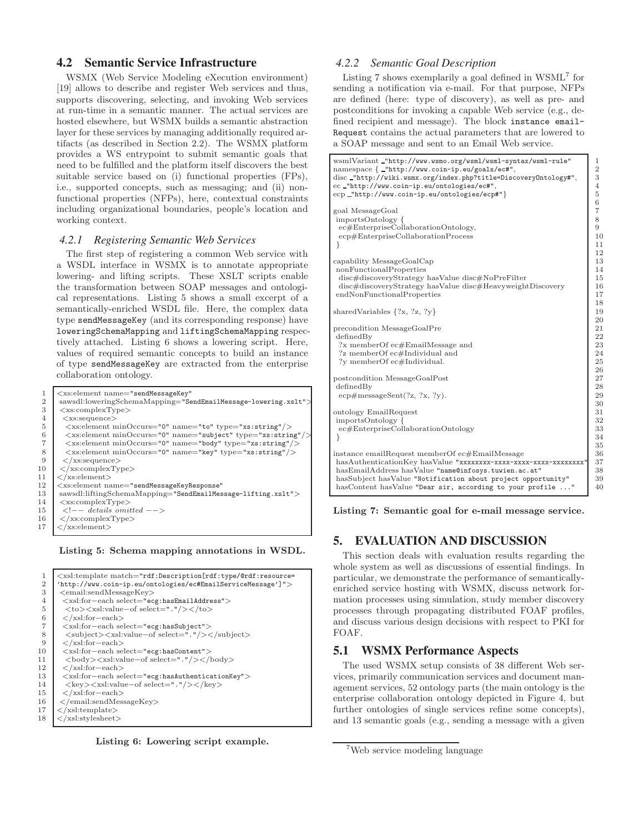# **4.2 Semantic Service Infrastructure**

WSMX (Web Service Modeling eXecution environment) [19] allows to describe and register Web services and thus, supports discovering, selecting, and invoking Web services at run-time in a semantic manner. The actual services are hosted elsewhere, but WSMX builds a semantic abstraction layer for these services by managing additionally required artifacts (as described in Section 2.2). The WSMX platform provides a WS entrypoint to submit semantic goals that need to be fulfilled and the platform itself discovers the best suitable service based on (i) functional properties (FPs), i.e., supported concepts, such as messaging; and (ii) nonfunctional properties (NFPs), here, contextual constraints including organizational boundaries, people's location and working context.

### *4.2.1 Registering Semantic Web Services*

The first step of registering a common Web service with a WSDL interface in WSMX is to annotate appropriate lowering- and lifting scripts. These XSLT scripts enable the transformation between SOAP messages and ontological representations. Listing 5 shows a small excerpt of a semantically-enriched WSDL file. Here, the complex data type sendMessageKey (and its corresponding response) have loweringSchemaMapping and liftingSchemaMapping respectively attached. Listing 6 shows a lowering script. Here, values of required semantic concepts to build an instance of type sendMessageKey are extracted from the enterprise collaboration ontology.

|                | <xs:element <="" name="sendMessageKey" td=""></xs:element>                                    |
|----------------|-----------------------------------------------------------------------------------------------|
| $\overline{2}$ | sawsdl:loweringSchemaMapping="SendEmailMessage-lowering.xslt">                                |
| 3              | $\langle$ xs:complexType $\rangle$                                                            |
| 4              | $<$ xs:sequence $>$                                                                           |
| 5              | <xs:element minoccurs="0" name="to" type="xs:string"></xs:element>                            |
| 6              | $\langle x$ s: element minOccurs="0" name="subject" type="xs: string" $\langle \rangle$       |
| 7              | $\langle x \rangle$ xs: element minOccurs="0" name="body" type="xs: string" $\langle \rangle$ |
| 8              | $\langle x$ s: element minOccurs="0" name="key" type="xs: string" />                          |
| 9              | $\langle$ /xs:sequence $\rangle$                                                              |
| 10             | $\langle$ /xs:complexType $\rangle$                                                           |
| 11             | $\langle$ /xs:element $\rangle$                                                               |
| 12             | <xs:element <="" name="sendMessageKeyResponse" td=""></xs:element>                            |
| 13             | sawsdl:liftingSchemaMapping="SendEmailMessage-lifting.xslt">                                  |
| 14             | $\langle$ xs:complexType $\rangle$                                                            |
| 15             | $\langle$ -- details omitted -->                                                              |
| 16             | $\langle$ xs:complexType $\rangle$                                                            |
| 17             | $\langle$ /xs:element $\rangle$                                                               |
|                |                                                                                               |

Listing 5: Schema mapping annotations in WSDL.

| 1  | <xsl:template match="rdf:Description[rdf:type/@rdf:resource=&lt;/th&gt;&lt;/tr&gt;&lt;tr&gt;&lt;th&gt;&lt;math&gt;\overline{2}&lt;/math&gt;&lt;/th&gt;&lt;th&gt;'http://www.coin-ip.eu/ontologies/ec#EmailServiceMessage']"></xsl:template> |
|----|---------------------------------------------------------------------------------------------------------------------------------------------------------------------------------------------------------------------------------------------|
| 3  | $\le$ email:sendMessageKey>                                                                                                                                                                                                                 |
| 4  | $\langle xsl:$ for-each select="ecg:hasEmailAddress">                                                                                                                                                                                       |
| 5  | $sl:value-of select=".*/$                                                                                                                                                                                                                   |
| 6  | $\langle$ /xsl:for-each>                                                                                                                                                                                                                    |
| 7  | <xsl:for-each select="ecg:hasSubject"></xsl:for-each>                                                                                                                                                                                       |
| 8  | <subject><xsl:value-of select="."></xsl:value-of></subject>                                                                                                                                                                                 |
| 9  | $\langle xsl:for-each \rangle$                                                                                                                                                                                                              |
| 10 | <xsl:for-each select="ecg:hasContent"></xsl:for-each>                                                                                                                                                                                       |
| 11 | $\&$ body> $&$ xsl:value-of select="."/> $&$ body>                                                                                                                                                                                          |
| 12 | $\langle$ /xsl:for-each>                                                                                                                                                                                                                    |
| 13 | $\langle xsl:$ for-each select="ecg:hasAuthenticationKey" $>$                                                                                                                                                                               |
| 14 | $\langle \text{key}\rangle \langle \text{xsl:value-of select} = " \cdot " \rangle \langle \text{key}\rangle$                                                                                                                                |
| 15 | $\langle$ /xsl:for-each>                                                                                                                                                                                                                    |
| 16 | $\langle$ /email:sendMessageKey>                                                                                                                                                                                                            |
| 17 | $\langle$ xsl:template>                                                                                                                                                                                                                     |
| 18 | $\langle$ xsl:stylesheet>                                                                                                                                                                                                                   |
|    |                                                                                                                                                                                                                                             |

Listing 6: Lowering script example.

### *4.2.2 Semantic Goal Description*

Listing 7 shows exemplarily a goal defined in WSML<sup>7</sup> for sending a notification via e-mail. For that purpose, NFPs are defined (here: type of discovery), as well as pre- and postconditions for invoking a capable Web service (e.g., defined recipient and message). The block instance email-Request contains the actual parameters that are lowered to a SOAP message and sent to an Email Web service.

| wsmlVariant_"http://www.wsmo.org/wsml/wsml-syntax/wsml-rule"      | 1              |
|-------------------------------------------------------------------|----------------|
| $\text{namespace}$ { _"http://www.coin-ip.eu/goals/ec#",          | $\overline{2}$ |
| disc_"http://wiki.wsmx.org/index.php?title=DiscoveryOntology#",   | 3              |
| ec_"http://www.coin-ip.eu/ontologies/ec#",                        | $\overline{4}$ |
| ecp_"http://www.coin-ip.eu/ontologies/ecp#"}                      | 5              |
|                                                                   | 6              |
| goal MessageGoal                                                  | 7              |
| importsOntology {                                                 | 8              |
| ec#EnterpriseCollaborationOntology,                               | 9              |
| ecp#EnterpriseCollaborationProcess                                | 10             |
|                                                                   | 11             |
|                                                                   | 12             |
| capability MessageGoalCap                                         | 13             |
| nonFunctionalProperties                                           | 14             |
| disc#discoveryStrategy hasValue disc#NoPreFilter                  | 15             |
| disc#discoveryStrategy hasValue disc#HeavyweightDiscovery         | 16             |
| endNonFunctionalProperties                                        | 17             |
|                                                                   | 18             |
| shared Variables $\{?x, ?z, ?y\}$                                 | 19             |
|                                                                   | 20             |
| precondition MessageGoalPre                                       | 21             |
| definedBy                                                         | 22             |
| ?x memberOf ec#EmailMessage and                                   | 23             |
| ?z memberOf ec#Individual and                                     | 24             |
| ?v memberOf ec#Individual.                                        | 25             |
|                                                                   | 26             |
| postcondition MessageGoalPost                                     | 27             |
| definedBy                                                         | 28             |
| $ecp\#messageSent(?z, ?x, ?y).$                                   | 29             |
|                                                                   | 30             |
| ontology EmailRequest                                             | 31             |
| importsOntology {                                                 | 32             |
| ec#EnterpriseCollaborationOntology                                | 33             |
| ł                                                                 | 34             |
|                                                                   | 35             |
| instance emailRequest memberOf ec#EmailMessage                    | 36             |
| hasAuthenticationKey hasValue "xxxxxxxx-xxxx-xxxx-xxxx-xxxxxxxxx" | 37             |
| hasEmailAddress hasValue "name@infosys.tuwien.ac.at"              | 38             |
| hasSubject hasValue "Notification about project opportunity"      | 39             |
| hasContent hasValue "Dear sir, according to your profile "        | 40             |
|                                                                   |                |

Listing 7: Semantic goal for e-mail message service.

# **5. EVALUATION AND DISCUSSION**

This section deals with evaluation results regarding the whole system as well as discussions of essential findings. In particular, we demonstrate the performance of semanticallyenriched service hosting with WSMX, discuss network formation processes using simulation, study member discovery processes through propagating distributed FOAF profiles, and discuss various design decisions with respect to PKI for FOAF.

### **5.1 WSMX Performance Aspects**

The used WSMX setup consists of 38 different Web services, primarily communication services and document management services, 52 ontology parts (the main ontology is the enterprise collaboration ontology depicted in Figure 4, but further ontologies of single services refine some concepts), and 13 semantic goals (e.g., sending a message with a given

<sup>7</sup>Web service modeling language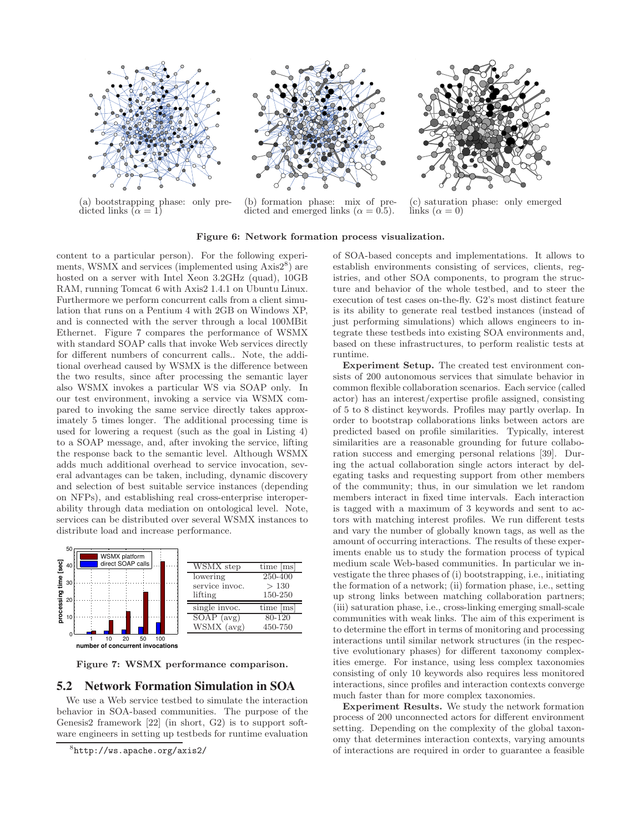

(a) bootstrapping phase: only predicted links  $(\alpha = 1)$ 



(b) formation phase: mix of predicted and emerged links ( $\alpha = 0.5$ ).



(c) saturation phase: only emerged links  $(\alpha = 0)$ 

#### Figure 6: Network formation process visualization.

content to a particular person). For the following experiments, WSMX and services (implemented using  $\widehat{Axis2^8)}$  are hosted on a server with Intel Xeon 3.2GHz (quad), 10GB RAM, running Tomcat 6 with Axis2 1.4.1 on Ubuntu Linux. Furthermore we perform concurrent calls from a client simulation that runs on a Pentium 4 with 2GB on Windows XP, and is connected with the server through a local 100MBit Ethernet. Figure 7 compares the performance of WSMX with standard SOAP calls that invoke Web services directly for different numbers of concurrent calls.. Note, the additional overhead caused by WSMX is the difference between the two results, since after processing the semantic layer also WSMX invokes a particular WS via SOAP only. In our test environment, invoking a service via WSMX compared to invoking the same service directly takes approximately 5 times longer. The additional processing time is used for lowering a request (such as the goal in Listing 4) to a SOAP message, and, after invoking the service, lifting the response back to the semantic level. Although WSMX adds much additional overhead to service invocation, several advantages can be taken, including, dynamic discovery and selection of best suitable service instances (depending on NFPs), and establishing real cross-enterprise interoperability through data mediation on ontological level. Note, services can be distributed over several WSMX instances to distribute load and increase performance.



Figure 7: WSMX performance comparison.

### **5.2 Network Formation Simulation in SOA**

We use a Web service testbed to simulate the interaction behavior in SOA-based communities. The purpose of the Genesis2 framework [22] (in short, G2) is to support software engineers in setting up testbeds for runtime evaluation

8 http://ws.apache.org/axis2/

of SOA-based concepts and implementations. It allows to establish environments consisting of services, clients, registries, and other SOA components, to program the structure and behavior of the whole testbed, and to steer the execution of test cases on-the-fly. G2's most distinct feature is its ability to generate real testbed instances (instead of just performing simulations) which allows engineers to integrate these testbeds into existing SOA environments and, based on these infrastructures, to perform realistic tests at runtime.

Experiment Setup. The created test environment consists of 200 autonomous services that simulate behavior in common flexible collaboration scenarios. Each service (called actor) has an interest/expertise profile assigned, consisting of 5 to 8 distinct keywords. Profiles may partly overlap. In order to bootstrap collaborations links between actors are predicted based on profile similarities. Typically, interest similarities are a reasonable grounding for future collaboration success and emerging personal relations [39]. During the actual collaboration single actors interact by delegating tasks and requesting support from other members of the community; thus, in our simulation we let random members interact in fixed time intervals. Each interaction is tagged with a maximum of 3 keywords and sent to actors with matching interest profiles. We run different tests and vary the number of globally known tags, as well as the amount of occurring interactions. The results of these experiments enable us to study the formation process of typical medium scale Web-based communities. In particular we investigate the three phases of (i) bootstrapping, i.e., initiating the formation of a network; (ii) formation phase, i.e., setting up strong links between matching collaboration partners; (iii) saturation phase, i.e., cross-linking emerging small-scale communities with weak links. The aim of this experiment is to determine the effort in terms of monitoring and processing interactions until similar network structures (in the respective evolutionary phases) for different taxonomy complexities emerge. For instance, using less complex taxonomies consisting of only 10 keywords also requires less monitored interactions, since profiles and interaction contexts converge much faster than for more complex taxonomies.

Experiment Results. We study the network formation process of 200 unconnected actors for different environment setting. Depending on the complexity of the global taxonomy that determines interaction contexts, varying amounts of interactions are required in order to guarantee a feasible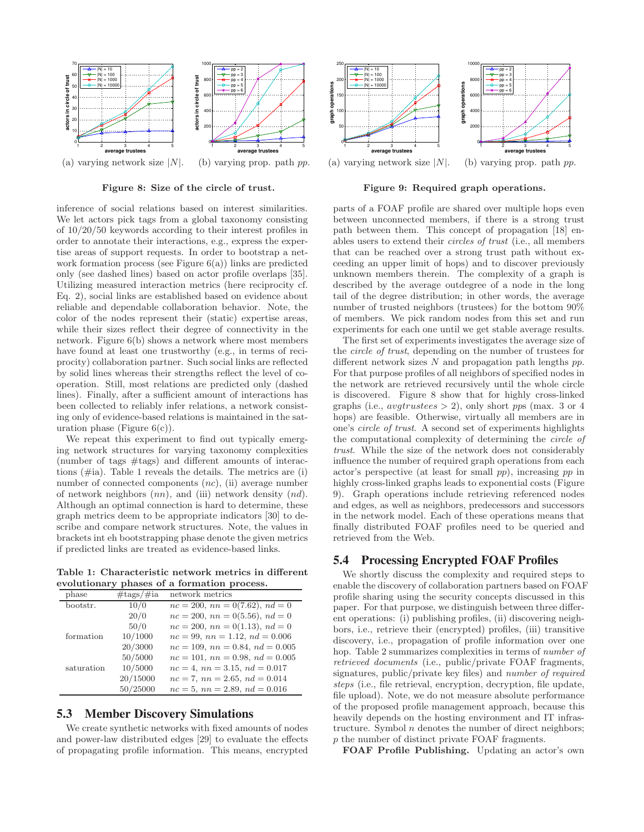

Figure 8: Size of the circle of trust.

inference of social relations based on interest similarities. We let actors pick tags from a global taxonomy consisting of 10/20/50 keywords according to their interest profiles in order to annotate their interactions, e.g., express the expertise areas of support requests. In order to bootstrap a network formation process (see Figure  $6(a)$ ) links are predicted only (see dashed lines) based on actor profile overlaps [35]. Utilizing measured interaction metrics (here reciprocity cf. Eq. 2), social links are established based on evidence about reliable and dependable collaboration behavior. Note, the color of the nodes represent their (static) expertise areas, while their sizes reflect their degree of connectivity in the network. Figure 6(b) shows a network where most members have found at least one trustworthy (e.g., in terms of reciprocity) collaboration partner. Such social links are reflected by solid lines whereas their strengths reflect the level of cooperation. Still, most relations are predicted only (dashed lines). Finally, after a sufficient amount of interactions has been collected to reliably infer relations, a network consisting only of evidence-based relations is maintained in the saturation phase (Figure  $6(c)$ ).

We repeat this experiment to find out typically emerging network structures for varying taxonomy complexities (number of tags #tags) and different amounts of interactions (#ia). Table 1 reveals the details. The metrics are (i) number of connected components  $(nc)$ , (ii) average number of network neighbors  $(nn)$ , and (iii) network density  $(nd)$ . Although an optimal connection is hard to determine, these graph metrics deem to be appropriate indicators [30] to describe and compare network structures. Note, the values in brackets int eh bootstrapping phase denote the given metrics if predicted links are treated as evidence-based links.

Table 1: Characteristic network metrics in different evolutionary phases of a formation process.

| phase      | $\# \text{tags}/\# \text{ia}$ | network metrics                         |
|------------|-------------------------------|-----------------------------------------|
| bootstr.   | 10/0                          | $nc = 200$ , $nn = 0(7.62)$ , $nd = 0$  |
|            | 20/0                          | $nc = 200$ , $nn = 0(5.56)$ , $nd = 0$  |
|            | 50/0                          | $nc = 200$ , $nn = 0(1.13)$ , $nd = 0$  |
| formation  | 10/1000                       | $nc = 99$ , $nn = 1.12$ , $nd = 0.006$  |
|            | 20/3000                       | $nc = 109$ , $nn = 0.84$ , $nd = 0.005$ |
|            | 50/5000                       | $nc = 101$ , $nn = 0.98$ , $nd = 0.005$ |
| saturation | 10/5000                       | $nc = 4$ , $nn = 3.15$ , $nd = 0.017$   |
|            | 20/15000                      | $nc = 7$ , $nn = 2.65$ , $nd = 0.014$   |
|            | 50/25000                      | $nc = 5$ , $nn = 2.89$ , $nd = 0.016$   |

## **5.3 Member Discovery Simulations**

We create synthetic networks with fixed amounts of nodes and power-law distributed edges [29] to evaluate the effects of propagating profile information. This means, encrypted



Figure 9: Required graph operations.

parts of a FOAF profile are shared over multiple hops even between unconnected members, if there is a strong trust path between them. This concept of propagation [18] enables users to extend their *circles of trust* (i.e., all members that can be reached over a strong trust path without exceeding an upper limit of hops) and to discover previously unknown members therein. The complexity of a graph is described by the average outdegree of a node in the long tail of the degree distribution; in other words, the average number of trusted neighbors (trustees) for the bottom 90% of members. We pick random nodes from this set and run experiments for each one until we get stable average results.

The first set of experiments investigates the average size of the *circle of trust*, depending on the number of trustees for different network sizes  $N$  and propagation path lengths  $pp$ . For that purpose profiles of all neighbors of specified nodes in the network are retrieved recursively until the whole circle is discovered. Figure 8 show that for highly cross-linked graphs (i.e.,  $avgtrustees > 2$ ), only short pps (max. 3 or 4 hops) are feasible. Otherwise, virtually all members are in one's *circle of trust*. A second set of experiments highlights the computational complexity of determining the *circle of trust*. While the size of the network does not considerably influence the number of required graph operations from each actor's perspective (at least for small pp), increasing pp in highly cross-linked graphs leads to exponential costs (Figure 9). Graph operations include retrieving referenced nodes and edges, as well as neighbors, predecessors and successors in the network model. Each of these operations means that finally distributed FOAF profiles need to be queried and retrieved from the Web.

# **5.4 Processing Encrypted FOAF Profiles**

We shortly discuss the complexity and required steps to enable the discovery of collaboration partners based on FOAF profile sharing using the security concepts discussed in this paper. For that purpose, we distinguish between three different operations: (i) publishing profiles, (ii) discovering neighbors, i.e., retrieve their (encrypted) profiles, (iii) transitive discovery, i.e., propagation of profile information over one hop. Table 2 summarizes complexities in terms of *number of retrieved documents* (i.e., public/private FOAF fragments, signatures, public/private key files) and *number of required steps* (i.e., file retrieval, encryption, decryption, file update, file upload). Note, we do not measure absolute performance of the proposed profile management approach, because this heavily depends on the hosting environment and IT infrastructure. Symbol  $n$  denotes the number of direct neighbors; p the number of distinct private FOAF fragments.

FOAF Profile Publishing. Updating an actor's own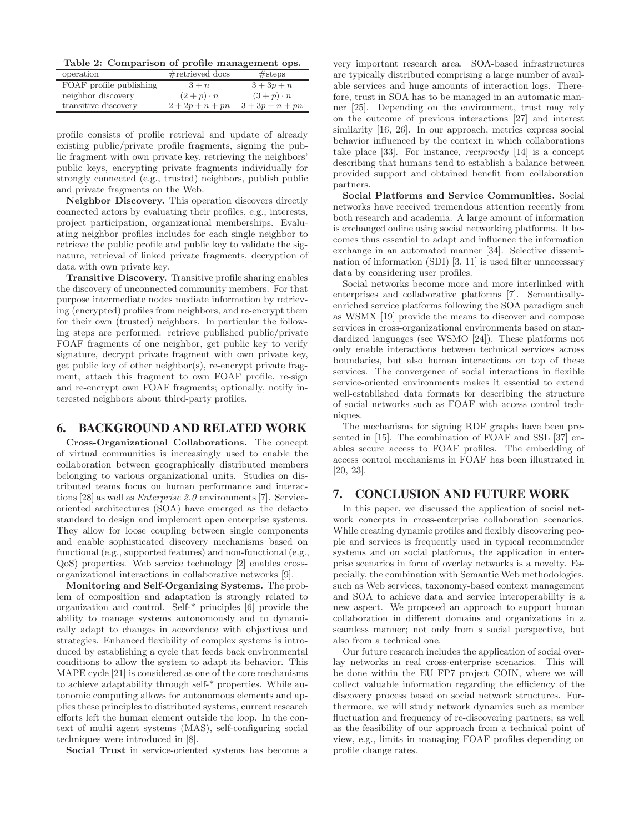Table 2: Comparison of profile management ops.

| operation               | $#$ retrieved docs | # steps           |
|-------------------------|--------------------|-------------------|
| FOAF profile publishing | $3+n$              | $3 + 3p + n$      |
| neighbor discovery      | $(2+p)\cdot n$     | $(3+p)\cdot n$    |
| transitive discovery    | $2 + 2p + n + pn$  | $3 + 3p + n + pn$ |

profile consists of profile retrieval and update of already existing public/private profile fragments, signing the public fragment with own private key, retrieving the neighbors' public keys, encrypting private fragments individually for strongly connected (e.g., trusted) neighbors, publish public and private fragments on the Web.

Neighbor Discovery. This operation discovers directly connected actors by evaluating their profiles, e.g., interests, project participation, organizational memberships. Evaluating neighbor profiles includes for each single neighbor to retrieve the public profile and public key to validate the signature, retrieval of linked private fragments, decryption of data with own private key.

Transitive Discovery. Transitive profile sharing enables the discovery of unconnected community members. For that purpose intermediate nodes mediate information by retrieving (encrypted) profiles from neighbors, and re-encrypt them for their own (trusted) neighbors. In particular the following steps are performed: retrieve published public/private FOAF fragments of one neighbor, get public key to verify signature, decrypt private fragment with own private key, get public key of other neighbor(s), re-encrypt private fragment, attach this fragment to own FOAF profile, re-sign and re-encrypt own FOAF fragments; optionally, notify interested neighbors about third-party profiles.

## **6. BACKGROUND AND RELATED WORK**

Cross-Organizational Collaborations. The concept of virtual communities is increasingly used to enable the collaboration between geographically distributed members belonging to various organizational units. Studies on distributed teams focus on human performance and interactions [28] as well as *Enterprise 2.0* environments [7]. Serviceoriented architectures (SOA) have emerged as the defacto standard to design and implement open enterprise systems. They allow for loose coupling between single components and enable sophisticated discovery mechanisms based on functional (e.g., supported features) and non-functional (e.g., QoS) properties. Web service technology [2] enables crossorganizational interactions in collaborative networks [9].

Monitoring and Self-Organizing Systems. The problem of composition and adaptation is strongly related to organization and control. Self-\* principles [6] provide the ability to manage systems autonomously and to dynamically adapt to changes in accordance with objectives and strategies. Enhanced flexibility of complex systems is introduced by establishing a cycle that feeds back environmental conditions to allow the system to adapt its behavior. This MAPE cycle [21] is considered as one of the core mechanisms to achieve adaptability through self-\* properties. While autonomic computing allows for autonomous elements and applies these principles to distributed systems, current research efforts left the human element outside the loop. In the context of multi agent systems (MAS), self-configuring social techniques were introduced in [8].

Social Trust in service-oriented systems has become a

very important research area. SOA-based infrastructures are typically distributed comprising a large number of available services and huge amounts of interaction logs. Therefore, trust in SOA has to be managed in an automatic manner [25]. Depending on the environment, trust may rely on the outcome of previous interactions [27] and interest similarity [16, 26]. In our approach, metrics express social behavior influenced by the context in which collaborations take place [33]. For instance, *reciprocity* [14] is a concept describing that humans tend to establish a balance between provided support and obtained benefit from collaboration partners.

Social Platforms and Service Communities. Social networks have received tremendous attention recently from both research and academia. A large amount of information is exchanged online using social networking platforms. It becomes thus essential to adapt and influence the information exchange in an automated manner [34]. Selective dissemination of information (SDI) [3, 11] is used filter unnecessary data by considering user profiles.

Social networks become more and more interlinked with enterprises and collaborative platforms [7]. Semanticallyenriched service platforms following the SOA paradigm such as WSMX [19] provide the means to discover and compose services in cross-organizational environments based on standardized languages (see WSMO [24]). These platforms not only enable interactions between technical services across boundaries, but also human interactions on top of these services. The convergence of social interactions in flexible service-oriented environments makes it essential to extend well-established data formats for describing the structure of social networks such as FOAF with access control techniques.

The mechanisms for signing RDF graphs have been presented in [15]. The combination of FOAF and SSL [37] enables secure access to FOAF profiles. The embedding of access control mechanisms in FOAF has been illustrated in [20, 23].

# **7. CONCLUSION AND FUTURE WORK**

In this paper, we discussed the application of social network concepts in cross-enterprise collaboration scenarios. While creating dynamic profiles and flexibly discovering people and services is frequently used in typical recommender systems and on social platforms, the application in enterprise scenarios in form of overlay networks is a novelty. Especially, the combination with Semantic Web methodologies, such as Web services, taxonomy-based context management and SOA to achieve data and service interoperability is a new aspect. We proposed an approach to support human collaboration in different domains and organizations in a seamless manner; not only from s social perspective, but also from a technical one.

Our future research includes the application of social overlay networks in real cross-enterprise scenarios. This will be done within the EU FP7 project COIN, where we will collect valuable information regarding the efficiency of the discovery process based on social network structures. Furthermore, we will study network dynamics such as member fluctuation and frequency of re-discovering partners; as well as the feasibility of our approach from a technical point of view, e.g., limits in managing FOAF profiles depending on profile change rates.